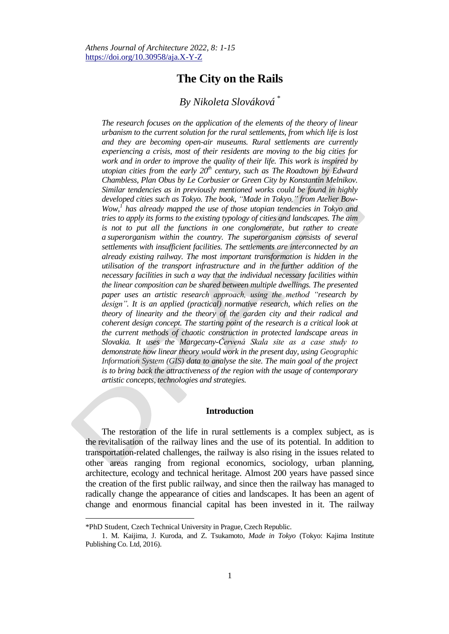# **The City on the Rails**

## *By Nikoleta Slováková \**

*The research focuses on the application of the elements of the theory of linear urbanism to the current solution for the rural settlements, from which life is lost and they are becoming open-air museums. Rural settlements are currently experiencing a crisis, most of their residents are moving to the big cities for work and in order to improve the quality of their life. This work is inspired by utopian cities from the early 20th century, such as The Roadtown by Edward Chambless, Plan Obus by Le Corbusier or Green City by Konstantin Melnikov. Similar tendencies as in previously mentioned works could be found in highly developed cities such as Tokyo. The book, "Made in Tokyo," from Atelier Bow-*Wow,<sup>*I*</sup> has already mapped the use of those utopian tendencies in Tokyo and *tries to apply its forms to the existing typology of cities and landscapes. The aim is not to put all the functions in one conglomerate, but rather to create a superorganism within the country. The superorganism consists of several settlements with insufficient facilities. The settlements are interconnected by an already existing railway. The most important transformation is hidden in the utilisation of the transport infrastructure and in the further addition of the necessary facilities in such a way that the individual necessary facilities within the linear composition can be shared between multiple dwellings. The presented paper uses an artistic research approach, using the method "research by*  design". It is an applied (practical) normative research, which relies on the *theory of linearity and the theory of the garden city and their radical and coherent design concept. The starting point of the research is a critical look at the current methods of chaotic construction in protected landscape areas in Slovakia. It uses the Margecany-Červená Skala site as a case study to demonstrate how linear theory would work in the present day, using Geographic Information System (GIS) data to analyse the site. The main goal of the project is to bring back the attractiveness of the region with the usage of contemporary artistic concepts, technologies and strategies.*

#### **Introduction**

The restoration of the life in rural settlements is a complex subject, as is the revitalisation of the railway lines and the use of its potential. In addition to transportation-related challenges, the railway is also rising in the issues related to other areas ranging from regional economics, sociology, urban planning, architecture, ecology and technical heritage. Almost 200 years have passed since the creation of the first public railway, and since then the railway has managed to radically change the appearance of cities and landscapes. It has been an agent of change and enormous financial capital has been invested in it. The railway

<sup>\*</sup>PhD Student, Czech Technical University in Prague, Czech Republic.

<sup>1.</sup> M. Kaijima, J. Kuroda, and Z. Tsukamoto, *Made in Tokyo* (Tokyo: Kajima Institute Publishing Co. Ltd, 2016).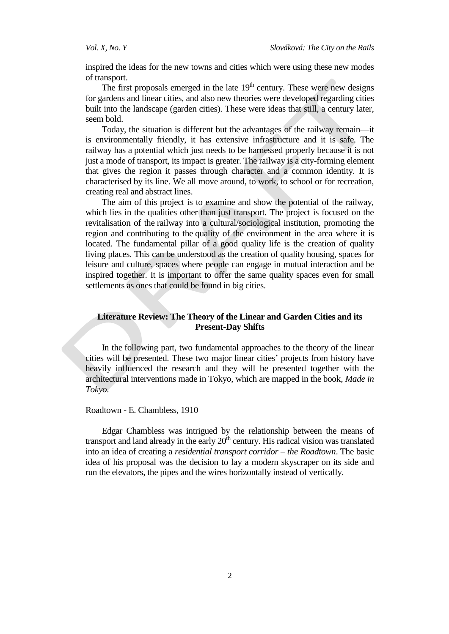inspired the ideas for the new towns and cities which were using these new modes of transport.

The first proposals emerged in the late  $19<sup>th</sup>$  century. These were new designs for gardens and linear cities, and also new theories were developed regarding cities built into the landscape (garden cities). These were ideas that still, a century later, seem bold.

Today, the situation is different but the advantages of the railway remain—it is environmentally friendly, it has extensive infrastructure and it is safe. The railway has a potential which just needs to be harnessed properly because it is not just a mode of transport, its impact is greater. The railway is a city-forming element that gives the region it passes through character and a common identity. It is characterised by its line. We all move around, to work, to school or for recreation, creating real and abstract lines.

The aim of this project is to examine and show the potential of the railway, which lies in the qualities other than just transport. The project is focused on the revitalisation of the railway into a cultural/sociological institution, promoting the region and contributing to the quality of the environment in the area where it is located. The fundamental pillar of a good quality life is the creation of quality living places. This can be understood as the creation of quality housing, spaces for leisure and culture, spaces where people can engage in mutual interaction and be inspired together. It is important to offer the same quality spaces even for small settlements as ones that could be found in big cities.

## **Literature Review: The Theory of the Linear and Garden Cities and its Present-Day Shifts**

In the following part, two fundamental approaches to the theory of the linear cities will be presented. These two major linear cities' projects from history have heavily influenced the research and they will be presented together with the architectural interventions made in Tokyo, which are mapped in the book, *Made in Tokyo*.

Roadtown - E. Chambless, 1910

Edgar Chambless was intrigued by the relationship between the means of transport and land already in the early  $20<sup>th</sup>$  century. His radical vision was translated into an idea of creating a *residential transport corridor – the Roadtown*. The basic idea of his proposal was the decision to lay a modern skyscraper on its side and run the elevators, the pipes and the wires horizontally instead of vertically.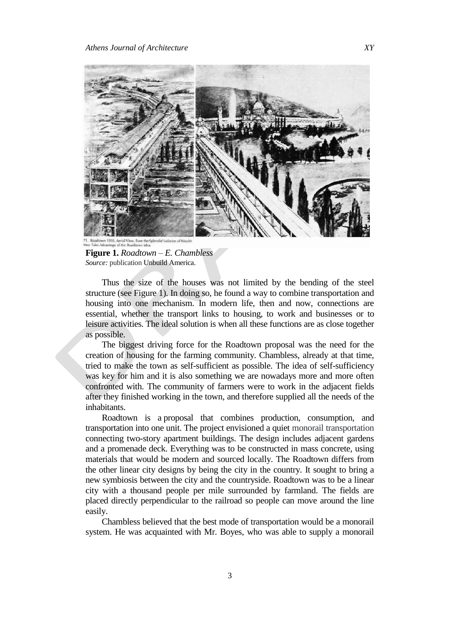

**Figure 1.** *Roadtown – E. Chambless Source:* publication Unbuild America.

Thus the size of the houses was not limited by the bending of the steel structure (see Figure 1). In doing so, he found a way to combine transportation and housing into one mechanism. In modern life, then and now, connections are essential, whether the transport links to housing, to work and businesses or to leisure activities. The ideal solution is when all these functions are as close together as possible.

The biggest driving force for the Roadtown proposal was the need for the creation of housing for the farming community. Chambless, already at that time, tried to make the town as self-sufficient as possible. The idea of self-sufficiency was key for him and it is also something we are nowadays more and more often confronted with. The community of farmers were to work in the adjacent fields after they finished working in the town, and therefore supplied all the needs of the inhabitants.

Roadtown is a proposal that combines production, consumption, and transportation into one unit. The project envisioned a quiet monorail transportation connecting two-story apartment buildings. The design includes adjacent gardens and a promenade deck. Everything was to be constructed in mass concrete, using materials that would be modern and sourced locally. The Roadtown differs from the other linear city designs by being the city in the country. It sought to bring a new symbiosis between the city and the countryside. Roadtown was to be a linear city with a thousand people per mile surrounded by farmland. The fields are placed directly perpendicular to the railroad so people can move around the line easily.

Chambless believed that the best mode of transportation would be a monorail system. He was acquainted with Mr. Boyes, who was able to supply a monorail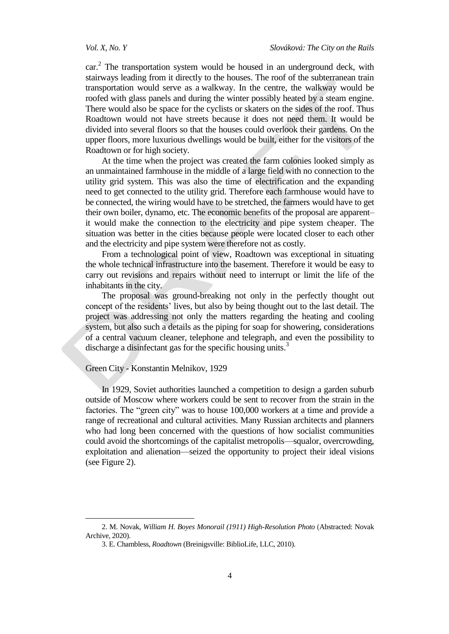car.<sup>2</sup> The transportation system would be housed in an underground deck, with stairways leading from it directly to the houses. The roof of the subterranean train transportation would serve as a walkway. In the centre, the walkway would be roofed with glass panels and during the winter possibly heated by a steam engine. There would also be space for the cyclists or skaters on the sides of the roof. Thus Roadtown would not have streets because it does not need them. It would be divided into several floors so that the houses could overlook their gardens. On the upper floors, more luxurious dwellings would be built, either for the visitors of the Roadtown or for high society.

At the time when the project was created the farm colonies looked simply as an unmaintained farmhouse in the middle of a large field with no connection to the utility grid system. This was also the time of electrification and the expanding need to get connected to the utility grid. Therefore each farmhouse would have to be connected, the wiring would have to be stretched, the farmers would have to get their own boiler, dynamo, etc. The economic benefits of the proposal are apparent– it would make the connection to the electricity and pipe system cheaper. The situation was better in the cities because people were located closer to each other and the electricity and pipe system were therefore not as costly.

From a technological point of view, Roadtown was exceptional in situating the whole technical infrastructure into the basement. Therefore it would be easy to carry out revisions and repairs without need to interrupt or limit the life of the inhabitants in the city.

The proposal was ground-breaking not only in the perfectly thought out concept of the residents' lives, but also by being thought out to the last detail. The project was addressing not only the matters regarding the heating and cooling system, but also such a details as the piping for soap for showering, considerations of a central vacuum cleaner, telephone and telegraph, and even the possibility to discharge a disinfectant gas for the specific housing units.<sup>3</sup>

## Green City - Konstantin Melnikov, 1929

 $\overline{a}$ 

In 1929, Soviet authorities launched a competition to design a garden suburb outside of Moscow where workers could be sent to recover from the strain in the factories. The "green city" was to house 100,000 workers at a time and provide a range of recreational and cultural activities. Many Russian architects and planners who had long been concerned with the questions of how socialist communities could avoid the shortcomings of the capitalist metropolis—squalor, overcrowding, exploitation and alienation—seized the opportunity to project their ideal visions (see Figure 2).

<sup>2.</sup> M. Novak, *William H. Boyes Monorail (1911) High-Resolution Photo* (Abstracted: Novak Archive, 2020).

<sup>3.</sup> E. Chambless, *Roadtown* (Breinigsville: BiblioLife, LLC, 2010).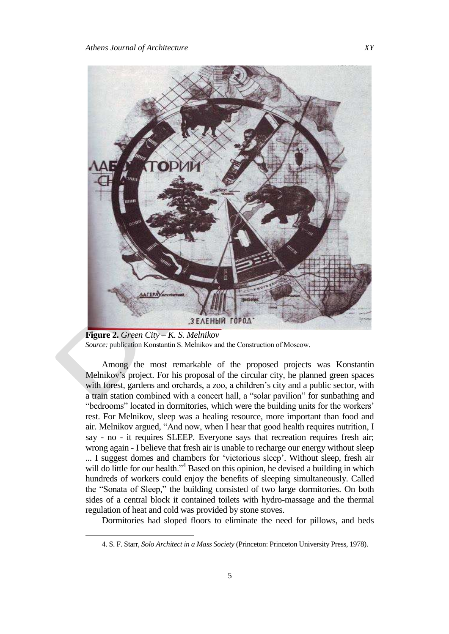

**Figure 2.** *Green City – K. S. Melnikov Source:* publication Konstantin S. Meĺnikov and the Construction of Moscow.

Among the most remarkable of the proposed projects was Konstantin Melnikov's project. For his proposal of the circular city, he planned green spaces with forest, gardens and orchards, a zoo, a children's city and a public sector, with a train station combined with a concert hall, a "solar pavilion" for sunbathing and "bedrooms" located in dormitories, which were the building units for the workers' rest. For Melnikov, sleep was a healing resource, more important than food and air. Melnikov argued, "And now, when I hear that good health requires nutrition, I say - no - it requires SLEEP. Everyone says that recreation requires fresh air; wrong again - I believe that fresh air is unable to recharge our energy without sleep ... I suggest domes and chambers for 'victorious sleep'. Without sleep, fresh air will do little for our health."<sup>4</sup> Based on this opinion, he devised a building in which hundreds of workers could enjoy the benefits of sleeping simultaneously. Called the "Sonata of Sleep," the building consisted of two large dormitories. On both sides of a central block it contained toilets with hydro-massage and the thermal regulation of heat and cold was provided by stone stoves.

Dormitories had sloped floors to eliminate the need for pillows, and beds

<sup>4.</sup> S. F. Starr, *Solo Architect in a Mass Society* (Princeton: Princeton University Press, 1978).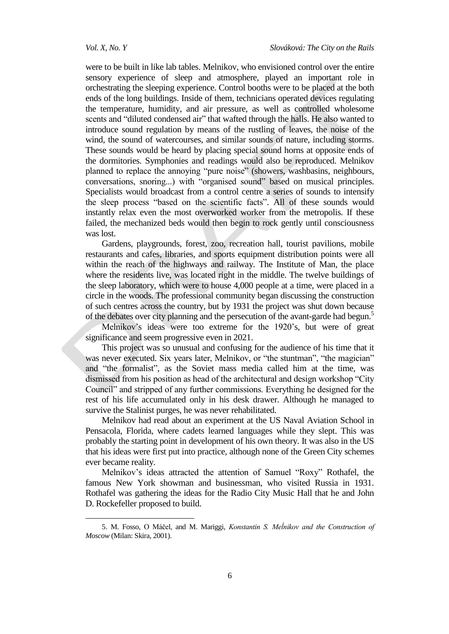were to be built in like lab tables. Melnikov, who envisioned control over the entire sensory experience of sleep and atmosphere, played an important role in orchestrating the sleeping experience. Control booths were to be placed at the both ends of the long buildings. Inside of them, technicians operated devices regulating the temperature, humidity, and air pressure, as well as controlled wholesome scents and "diluted condensed air" that wafted through the halls. He also wanted to introduce sound regulation by means of the rustling of leaves, the noise of the wind, the sound of watercourses, and similar sounds of nature, including storms. These sounds would be heard by placing special sound horns at opposite ends of the dormitories. Symphonies and readings would also be reproduced. Melnikov planned to replace the annoying "pure noise" (showers, washbasins, neighbours, conversations, snoring...) with "organised sound" based on musical principles. Specialists would broadcast from a control centre a series of sounds to intensify the sleep process "based on the scientific facts". All of these sounds would instantly relax even the most overworked worker from the metropolis. If these failed, the mechanized beds would then begin to rock gently until consciousness was lost.

Gardens, playgrounds, forest, zoo, recreation hall, tourist pavilions, mobile restaurants and cafes, libraries, and sports equipment distribution points were all within the reach of the highways and railway. The Institute of Man, the place where the residents live, was located right in the middle. The twelve buildings of the sleep laboratory, which were to house 4,000 people at a time, were placed in a circle in the woods. The professional community began discussing the construction of such centres across the country, but by 1931 the project was shut down because of the debates over city planning and the persecution of the avant-garde had begun.<sup>5</sup>

Melnikov's ideas were too extreme for the 1920's, but were of great significance and seem progressive even in 2021.

This project was so unusual and confusing for the audience of his time that it was never executed. Six years later, Melnikov, or "the stuntman", "the magician" and "the formalist", as the Soviet mass media called him at the time, was dismissed from his position as head of the architectural and design workshop "City" Council" and stripped of any further commissions. Everything he designed for the rest of his life accumulated only in his desk drawer. Although he managed to survive the Stalinist purges, he was never rehabilitated.

Melnikov had read about an experiment at the US Naval Aviation School in Pensacola, Florida, where cadets learned languages while they slept. This was probably the starting point in development of his own theory. It was also in the US that his ideas were first put into practice, although none of the Green City schemes ever became reality.

Melnikov's ideas attracted the attention of Samuel "Roxy" Rothafel, the famous New York showman and businessman, who visited Russia in 1931. Rothafel was gathering the ideas for the Radio City Music Hall that he and John D. Rockefeller proposed to build.

<sup>5.</sup> M. Fosso, O Máčel, and M. Mariggi, *Konstantin S. Meĺnikov and the Construction of Moscow* (Milan: Skira, 2001).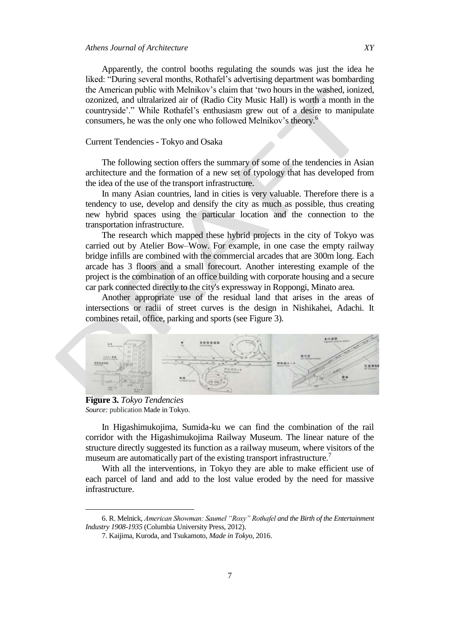Apparently, the control booths regulating the sounds was just the idea he liked: "During several months, Rothafel's advertising department was bombarding the American public with Melnikov's claim that ‗two hours in the washed, ionized, ozonized, and ultralarized air of (Radio City Music Hall) is worth a month in the countryside'." While Rothafel's enthusiasm grew out of a desire to manipulate consumers, he was the only one who followed Melnikov's theory.<sup>6</sup>

#### Current Tendencies - Tokyo and Osaka

The following section offers the summary of some of the tendencies in Asian architecture and the formation of a new set of typology that has developed from the idea of the use of the transport infrastructure.

In many Asian countries, land in cities is very valuable. Therefore there is a tendency to use, develop and densify the city as much as possible, thus creating new hybrid spaces using the particular location and the connection to the transportation infrastructure.

The research which mapped these hybrid projects in the city of Tokyo was carried out by Atelier Bow–Wow. For example, in one case the empty railway bridge infills are combined with the commercial arcades that are 300m long. Each arcade has 3 floors and a small forecourt. Another interesting example of the project is the combination of an office building with corporate housing and a secure car park connected directly to the city's expressway in Roppongi, Minato area.

Another appropriate use of the residual land that arises in the areas of intersections or radii of street curves is the design in Nishikahei, Adachi. It combines retail, office, parking and sports (see Figure 3).



**Figure 3.** *Tokyo Tendencies Source:* publication Made in Tokyo.

 $\overline{a}$ 

In Higashimukojima, Sumida-ku we can find the combination of the rail corridor with the Higashimukojima Railway Museum. The linear nature of the structure directly suggested its function as a railway museum, where visitors of the museum are automatically part of the existing transport infrastructure.<sup>7</sup>

With all the interventions, in Tokyo they are able to make efficient use of each parcel of land and add to the lost value eroded by the need for massive infrastructure.

<sup>6.</sup> R. Melnick, *American Showman: Saumel "Roxy" Rothafel and the Birth of the Entertainment Industry 1908-1935* (Columbia University Press, 2012).

<sup>7.</sup> Kaijima, Kuroda, and Tsukamoto, *Made in Tokyo,* 2016.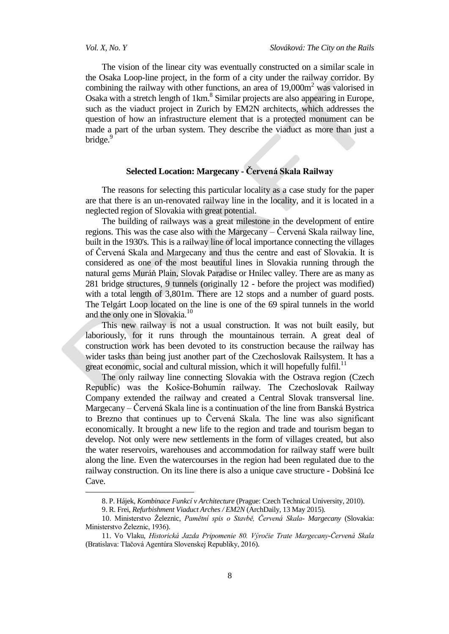The vision of the linear city was eventually constructed on a similar scale in the Osaka Loop-line project, in the form of a city under the railway corridor. By combining the railway with other functions, an area of  $19,000\,\text{m}^2$  was valorised in Osaka with a stretch length of 1km.<sup>8</sup> Similar projects are also appearing in Europe, such as the viaduct project in Zurich by EM2N architects, which addresses the question of how an infrastructure element that is a protected monument can be made a part of the urban system. They describe the viaduct as more than just a bridge.

## **Selected Location: Margecany - Červená Skala Railway**

The reasons for selecting this particular locality as a case study for the paper are that there is an un-renovated railway line in the locality, and it is located in a neglected region of Slovakia with great potential.

The building of railways was a great milestone in the development of entire regions. This was the case also with the Margecany – Červená Skala railway line, built in the 1930's. This is a railway line of local importance connecting the villages of Červená Skala and Margecany and thus the centre and east of Slovakia. It is considered as one of the most beautiful lines in Slovakia running through the natural gems Muráň Plain, Slovak Paradise or Hnilec valley. There are as many as 281 bridge structures, 9 tunnels (originally 12 - before the project was modified) with a total length of 3,801m. There are 12 stops and a number of guard posts. The Telgárt Loop located on the line is one of the 69 spiral tunnels in the world and the only one in Slovakia.<sup>10</sup>

This new railway is not a usual construction. It was not built easily, but laboriously, for it runs through the mountainous terrain. A great deal of construction work has been devoted to its construction because the railway has wider tasks than being just another part of the Czechoslovak Railsystem. It has a great economic, social and cultural mission, which it will hopefully fulfil.<sup>11</sup>

The only railway line connecting Slovakia with the Ostrava region (Czech Republic) was the Košice-Bohumín railway. The Czechoslovak Railway Company extended the railway and created a Central Slovak transversal line. Margecany – Červená Skala line is a continuation of the line from Banská Bystrica to Brezno that continues up to Červená Skala. The line was also significant economically. It brought a new life to the region and trade and tourism began to develop. Not only were new settlements in the form of villages created, but also the water reservoirs, warehouses and accommodation for railway staff were built along the line. Even the watercourses in the region had been regulated due to the railway construction. On its line there is also a unique cave structure - Dobšiná Ice Cave.

<sup>8.</sup> P. Hájek, *Kombinace Funkcí v Architecture* (Prague: Czech Technical University, 2010).

<sup>9.</sup> R. Frei, *Refurbishment Viaduct Arches / EM2N* (ArchDaily, 13 May 2015).

<sup>10.</sup> Ministerstvo Ţeleznic, *Pamětní spis o Stavbě, Červená Skala- Margecany* (Slovakia: Ministerstvo Železnic, 1936).

<sup>11.</sup> Vo Vlaku, *Historická Jazda Pripomenie 80. Výročie Trate Margecany-Červená Skala* (Bratislava: Tlačová Agentúra Slovenskej Republiky, 2016).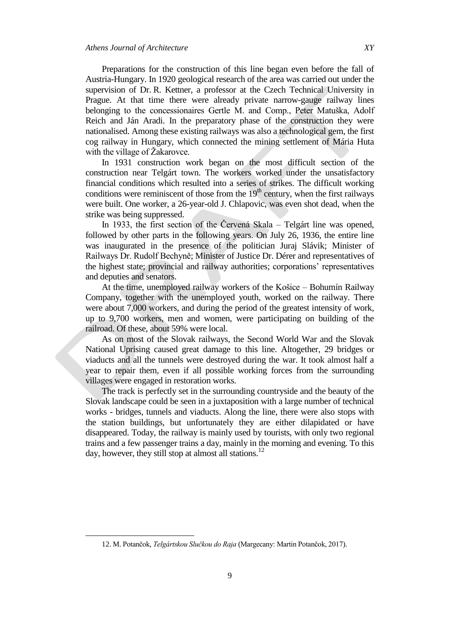Preparations for the construction of this line began even before the fall of Austria-Hungary. In 1920 geological research of the area was carried out under the supervision of Dr. R. Kettner, a professor at the Czech Technical University in Prague. At that time there were already private narrow-gauge railway lines belonging to the concessionaires Gertle M. and Comp., Peter Matuška, Adolf Reich and Ján Aradi. In the preparatory phase of the construction they were nationalised. Among these existing railways was also a technological gem, the first cog railway in Hungary, which connected the mining settlement of Mária Huta with the village of  $\check{Z}$ akarovce.

In 1931 construction work began on the most difficult section of the construction near Telgárt town. The workers worked under the unsatisfactory financial conditions which resulted into a series of strikes. The difficult working conditions were reminiscent of those from the  $19<sup>th</sup>$  century, when the first railways were built. One worker, a 26-year-old J. Chlapovic, was even shot dead, when the strike was being suppressed.

In 1933, the first section of the Červená Skala – Telgárt line was opened, followed by other parts in the following years. On July 26, 1936, the entire line was inaugurated in the presence of the politician Juraj Slávik; Minister of Railways Dr. Rudolf Bechyně; Minister of Justice Dr. Dérer and representatives of the highest state; provincial and railway authorities; corporations' representatives and deputies and senators.

At the time, unemployed railway workers of the Košice – Bohumín Railway Company, together with the unemployed youth, worked on the railway. There were about 7,000 workers, and during the period of the greatest intensity of work, up to 9,700 workers, men and women, were participating on building of the railroad. Of these, about 59% were local.

As on most of the Slovak railways, the Second World War and the Slovak National Uprising caused great damage to this line. Altogether, 29 bridges or viaducts and all the tunnels were destroyed during the war. It took almost half a year to repair them, even if all possible working forces from the surrounding villages were engaged in restoration works.

The track is perfectly set in the surrounding countryside and the beauty of the Slovak landscape could be seen in a juxtaposition with a large number of technical works - bridges, tunnels and viaducts. Along the line, there were also stops with the station buildings, but unfortunately they are either dilapidated or have disappeared. Today, the railway is mainly used by tourists, with only two regional trains and a few passenger trains a day, mainly in the morning and evening. To this day, however, they still stop at almost all stations.<sup>12</sup>

<sup>12.</sup> M. Potančok, *Telgártskou Slučkou do Raja* (Margecany: Martin Potančok, 2017).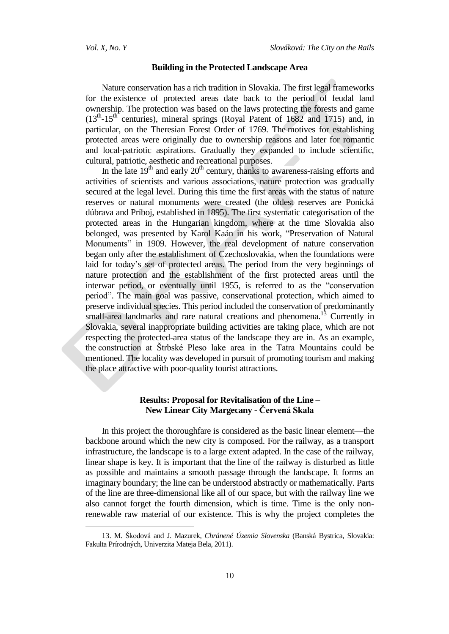#### **Building in the Protected Landscape Area**

Nature conservation has a rich tradition in Slovakia. The first legal frameworks for the existence of protected areas date back to the period of feudal land ownership. The protection was based on the laws protecting the forests and game  $(13<sup>th</sup> - 15<sup>th</sup>$  centuries), mineral springs (Royal Patent of 1682 and 1715) and, in particular, on the Theresian Forest Order of 1769. The motives for establishing protected areas were originally due to ownership reasons and later for romantic and local-patriotic aspirations. Gradually they expanded to include scientific, cultural, patriotic, aesthetic and recreational purposes.

In the late  $19<sup>th</sup>$  and early  $20<sup>th</sup>$  century, thanks to awareness-raising efforts and activities of scientists and various associations, nature protection was gradually secured at the legal level. During this time the first areas with the status of nature reserves or natural monuments were created (the oldest reserves are Ponická dúbrava and Príboj, established in 1895). The first systematic categorisation of the protected areas in the Hungarian kingdom, where at the time Slovakia also belonged, was presented by Karol Kaán in his work, "Preservation of Natural Monuments" in 1909. However, the real development of nature conservation began only after the establishment of Czechoslovakia, when the foundations were laid for today's set of protected areas. The period from the very beginnings of nature protection and the establishment of the first protected areas until the interwar period, or eventually until 1955, is referred to as the "conservation" period‖. The main goal was passive, conservational protection, which aimed to preserve individual species. This period included the conservation of predominantly small-area landmarks and rare natural creations and phenomena.<sup>13</sup> Currently in Slovakia, several inappropriate building activities are taking place, which are not respecting the protected-area status of the landscape they are in. As an example, the construction at Štrbské Pleso lake area in the Tatra Mountains could be mentioned. The locality was developed in pursuit of promoting tourism and making the place attractive with poor-quality tourist attractions.

## **Results: Proposal for Revitalisation of the Line – New Linear City Margecany - Červená Skala**

In this project the thoroughfare is considered as the basic linear element—the backbone around which the new city is composed. For the railway, as a transport infrastructure, the landscape is to a large extent adapted. In the case of the railway, linear shape is key. It is important that the line of the railway is disturbed as little as possible and maintains a smooth passage through the landscape. It forms an imaginary boundary; the line can be understood abstractly or mathematically. Parts of the line are three-dimensional like all of our space, but with the railway line we also cannot forget the fourth dimension, which is time. Time is the only nonrenewable raw material of our existence. This is why the project completes the

<sup>13.</sup> M. Škodová and J. Mazurek, *Chránené Územia Slovenska* (Banská Bystrica, Slovakia: Fakulta Prírodných, Univerzita Mateja Bela, 2011).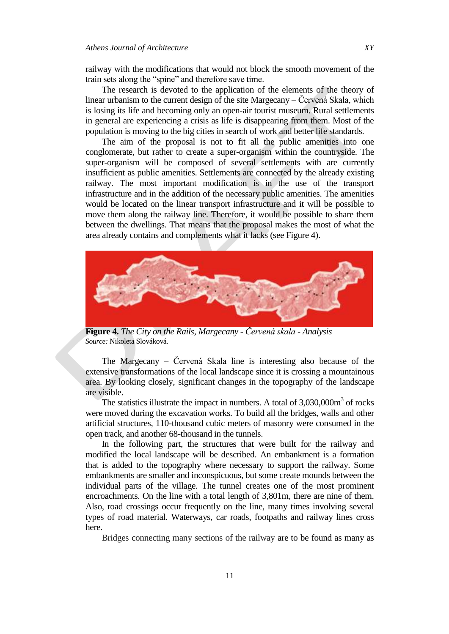railway with the modifications that would not block the smooth movement of the train sets along the "spine" and therefore save time.

The research is devoted to the application of the elements of the theory of linear urbanism to the current design of the site Margecany – Červená Skala, which is losing its life and becoming only an open-air tourist museum. Rural settlements in general are experiencing a crisis as life is disappearing from them. Most of the population is moving to the big cities in search of work and better life standards.

The aim of the proposal is not to fit all the public amenities into one conglomerate, but rather to create a super-organism within the countryside. The super-organism will be composed of several settlements with are currently insufficient as public amenities. Settlements are connected by the already existing railway. The most important modification is in the use of the transport infrastructure and in the addition of the necessary public amenities. The amenities would be located on the linear transport infrastructure and it will be possible to move them along the railway line. Therefore, it would be possible to share them between the dwellings. That means that the proposal makes the most of what the area already contains and complements what it lacks (see Figure 4).



**Figure 4.** *The City on the Rails, Margecany - Červená skala - Analysis Source:* Nikoleta Slováková.

The Margecany – Červená Skala line is interesting also because of the extensive transformations of the local landscape since it is crossing a mountainous area. By looking closely, significant changes in the topography of the landscape are visible.

The statistics illustrate the impact in numbers. A total of  $3,030,000\,\mathrm{m}^3$  of rocks were moved during the excavation works. To build all the bridges, walls and other artificial structures, 110-thousand cubic meters of masonry were consumed in the open track, and another 68-thousand in the tunnels.

In the following part, the structures that were built for the railway and modified the local landscape will be described. An embankment is a formation that is added to the topography where necessary to support the railway. Some embankments are smaller and inconspicuous, but some create mounds between the individual parts of the village. The tunnel creates one of the most prominent encroachments. On the line with a total length of 3,801m, there are nine of them. Also, road crossings occur frequently on the line, many times involving several types of road material. Waterways, car roads, footpaths and railway lines cross here.

Bridges connecting many sections of the railway are to be found as many as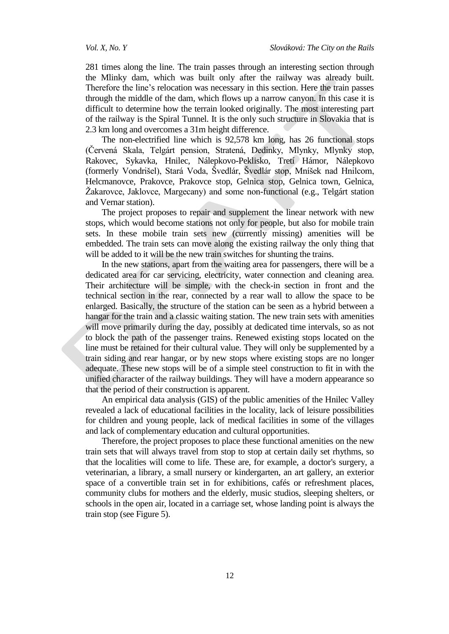281 times along the line. The train passes through an interesting section through the Mlinky dam, which was built only after the railway was already built. Therefore the line's relocation was necessary in this section. Here the train passes through the middle of the dam, which flows up a narrow canyon. In this case it is difficult to determine how the terrain looked originally. The most interesting part of the railway is the Spiral Tunnel. It is the only such structure in Slovakia that is 2.3 km long and overcomes a 31m height difference.

The non-electrified line which is 92,578 km long, has 26 functional stops (Červená Skala, Telgárt pension, Stratená, Dedinky, Mlynky, Mlynky stop, Rakovec, Sykavka, Hnilec, Nálepkovo-Peklisko, Tretí Hámor, Nálepkovo (formerly Vondrišel), Stará Voda, Švedlár, Švedlár stop, Mníšek nad Hnilcom, Helcmanovce, Prakovce, Prakovce stop, Gelnica stop, Gelnica town, Gelnica, Ţakarovce, Jaklovce, Margecany) and some non-functional (e.g., Telgárt station and Vernar station).

The project proposes to repair and supplement the linear network with new stops, which would become stations not only for people, but also for mobile train sets. In these mobile train sets new (currently missing) amenities will be embedded. The train sets can move along the existing railway the only thing that will be added to it will be the new train switches for shunting the trains.

In the new stations, apart from the waiting area for passengers, there will be a dedicated area for car servicing, electricity, water connection and cleaning area. Their architecture will be simple, with the check-in section in front and the technical section in the rear, connected by a rear wall to allow the space to be enlarged. Basically, the structure of the station can be seen as a hybrid between a hangar for the train and a classic waiting station. The new train sets with amenities will move primarily during the day, possibly at dedicated time intervals, so as not to block the path of the passenger trains. Renewed existing stops located on the line must be retained for their cultural value. They will only be supplemented by a train siding and rear hangar, or by new stops where existing stops are no longer adequate. These new stops will be of a simple steel construction to fit in with the unified character of the railway buildings. They will have a modern appearance so that the period of their construction is apparent.

An empirical data analysis (GIS) of the public amenities of the Hnilec Valley revealed a lack of educational facilities in the locality, lack of leisure possibilities for children and young people, lack of medical facilities in some of the villages and lack of complementary education and cultural opportunities.

Therefore, the project proposes to place these functional amenities on the new train sets that will always travel from stop to stop at certain daily set rhythms, so that the localities will come to life. These are, for example, a doctor's surgery, a veterinarian, a library, a small nursery or kindergarten, an art gallery, an exterior space of a convertible train set in for exhibitions, cafés or refreshment places, community clubs for mothers and the elderly, music studios, sleeping shelters, or schools in the open air, located in a carriage set, whose landing point is always the train stop (see Figure 5).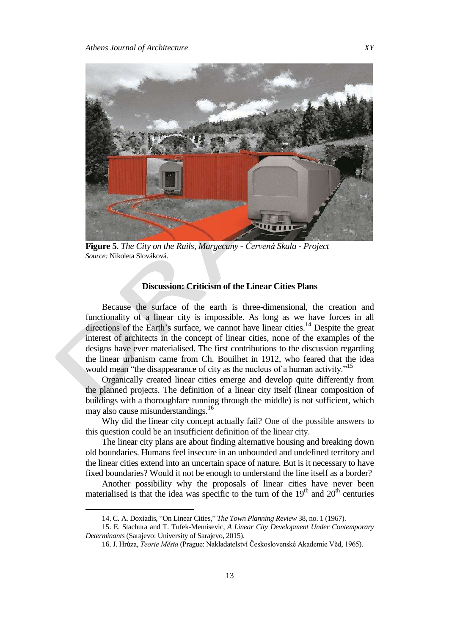

**Figure 5**. *The City on the Rails, Margecany - Červená Skala - Project Source:* Nikoleta Slováková.

### **Discussion: Criticism of the Linear Cities Plans**

Because the surface of the earth is three-dimensional, the creation and functionality of a linear city is impossible. As long as we have forces in all directions of the Earth's surface, we cannot have linear cities.<sup>14</sup> Despite the great interest of architects in the concept of linear cities, none of the examples of the designs have ever materialised. The first contributions to the discussion regarding the linear urbanism came from Ch. Bouilhet in 1912, who feared that the idea would mean "the disappearance of city as the nucleus of a human activity."<sup>15</sup>

Organically created linear cities emerge and develop quite differently from the planned projects. The definition of a linear city itself (linear composition of buildings with a thoroughfare running through the middle) is not sufficient, which may also cause misunderstandings.<sup>16</sup>

Why did the linear city concept actually fail? One of the possible answers to this question could be an insufficient definition of the linear city.

The linear city plans are about finding alternative housing and breaking down old boundaries. Humans feel insecure in an unbounded and undefined territory and the linear cities extend into an uncertain space of nature. But is it necessary to have fixed boundaries? Would it not be enough to understand the line itself as a border?

Another possibility why the proposals of linear cities have never been materialised is that the idea was specific to the turn of the  $19<sup>th</sup>$  and  $20<sup>th</sup>$  centuries

<sup>14.</sup> C. A. Doxiadis, "On Linear Cities," The Town Planning Review 38, no. 1 (1967).

<sup>15.</sup> E. Stachura and T. Tufek-Memisevic, *A Linear City Development Under Contemporary Determinants* (Sarajevo: University of Sarajevo, 2015).

<sup>16.</sup> J. Hrůza, *Teorie Města* (Prague: Nakladatelství Československé Akademie Věd, 1965).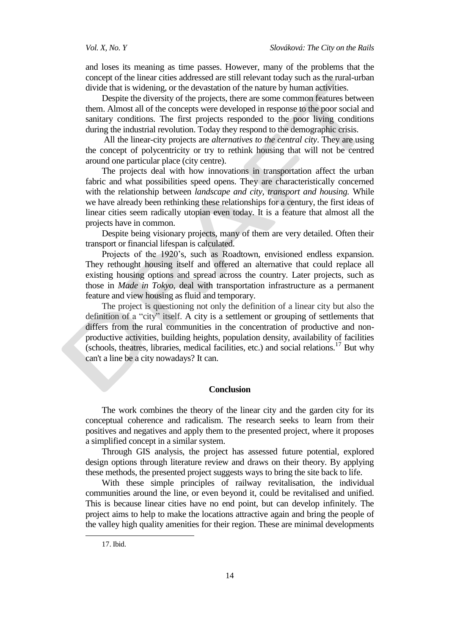and loses its meaning as time passes. However, many of the problems that the concept of the linear cities addressed are still relevant today such as the rural-urban divide that is widening, or the devastation of the nature by human activities.

Despite the diversity of the projects, there are some common features between them. Almost all of the concepts were developed in response to the poor social and sanitary conditions. The first projects responded to the poor living conditions during the industrial revolution. Today they respond to the demographic crisis.

All the linear-city projects are *alternatives to the central city*. They are using the concept of polycentricity or try to rethink housing that will not be centred around one particular place (city centre).

The projects deal with how innovations in transportation affect the urban fabric and what possibilities speed opens. They are characteristically concerned with the relationship between *landscape and city, transport and housing.* While we have already been rethinking these relationships for a century, the first ideas of linear cities seem radically utopian even today. It is a feature that almost all the projects have in common.

Despite being visionary projects, many of them are very detailed. Often their transport or financial lifespan is calculated.

Projects of the 1920's, such as Roadtown, envisioned endless expansion. They rethought housing itself and offered an alternative that could replace all existing housing options and spread across the country. Later projects, such as those in *Made in Tokyo*, deal with transportation infrastructure as a permanent feature and view housing as fluid and temporary.

The project is questioning not only the definition of a linear city but also the definition of a "city" itself. A city is a settlement or grouping of settlements that differs from the rural communities in the concentration of productive and nonproductive activities, building heights, population density, availability of facilities (schools, theatres, libraries, medical facilities, etc.) and social relations.<sup>17</sup> But why can't a line be a city nowadays? It can.

#### **Conclusion**

The work combines the theory of the linear city and the garden city for its conceptual coherence and radicalism. The research seeks to learn from their positives and negatives and apply them to the presented project, where it proposes a simplified concept in a similar system.

Through GIS analysis, the project has assessed future potential, explored design options through literature review and draws on their theory. By applying these methods, the presented project suggests ways to bring the site back to life.

With these simple principles of railway revitalisation, the individual communities around the line, or even beyond it, could be revitalised and unified. This is because linear cities have no end point, but can develop infinitely. The project aims to help to make the locations attractive again and bring the people of the valley high quality amenities for their region. These are minimal developments

<sup>17.</sup> Ibid.